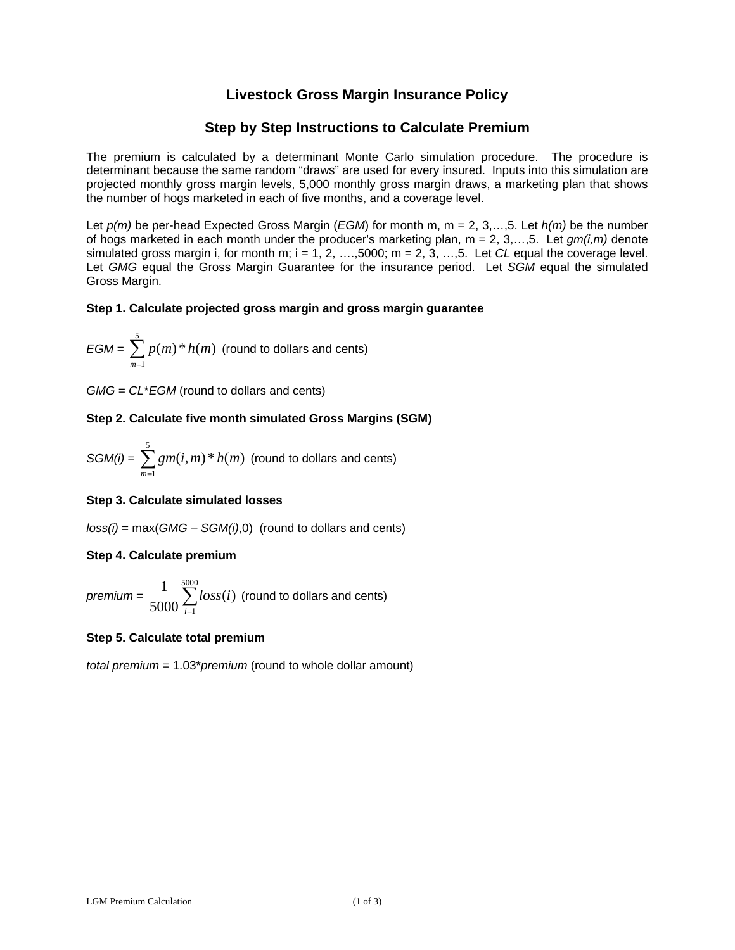# **Livestock Gross Margin Insurance Policy**

# **Step by Step Instructions to Calculate Premium**

The premium is calculated by a determinant Monte Carlo simulation procedure. The procedure is determinant because the same random "draws" are used for every insured. Inputs into this simulation are projected monthly gross margin levels, 5,000 monthly gross margin draws, a marketing plan that shows the number of hogs marketed in each of five months, and a coverage level.

 simulated gross margin i, for month m; i = 1, 2, ….,5000; m = 2, 3, …,5. Let *CL* equal the coverage level. Let *p(m)* be per-head Expected Gross Margin (*EGM*) for month m, m = 2, 3,…,5. Let *h(m)* be the number of hogs marketed in each month under the producer's marketing plan, m = 2, 3,…,5. Let *gm(i,m)* denote Let *GMG* equal the Gross Margin Guarantee for the insurance period. Let *SGM* equal the simulated Gross Margin.

#### **Step 1. Calculate projected gross margin and gross margin guarantee**

$$
EGM = \sum_{m=1}^{5} p(m) * h(m)
$$
 (round to dollars and cents)

*GMG* = *CL*\**EGM* (round to dollars and cents)

#### **Step 2. Calculate five month simulated Gross Margins (SGM)**

$$
SGM(i) = \sum_{m=1}^{5} gm(i, m) * h(m)
$$
 (round to dollars and cents)

#### **Step 3. Calculate simulated losses**

*loss(i)* = max(*GMG* – *SGM(i)*,0) (round to dollars and cents)

#### **Step 4. Calculate premium**

 $\sum_{i=1}^{5000}$  $i = 1$  $\textit{premium} = \frac{1}{5000} \sum_{i=1}^{5000} loss(i) \text{ (round to dollars and cents)}$ 

### **Step 5. Calculate total premium**

*total premium* = 1.03\**premium* (round to whole dollar amount)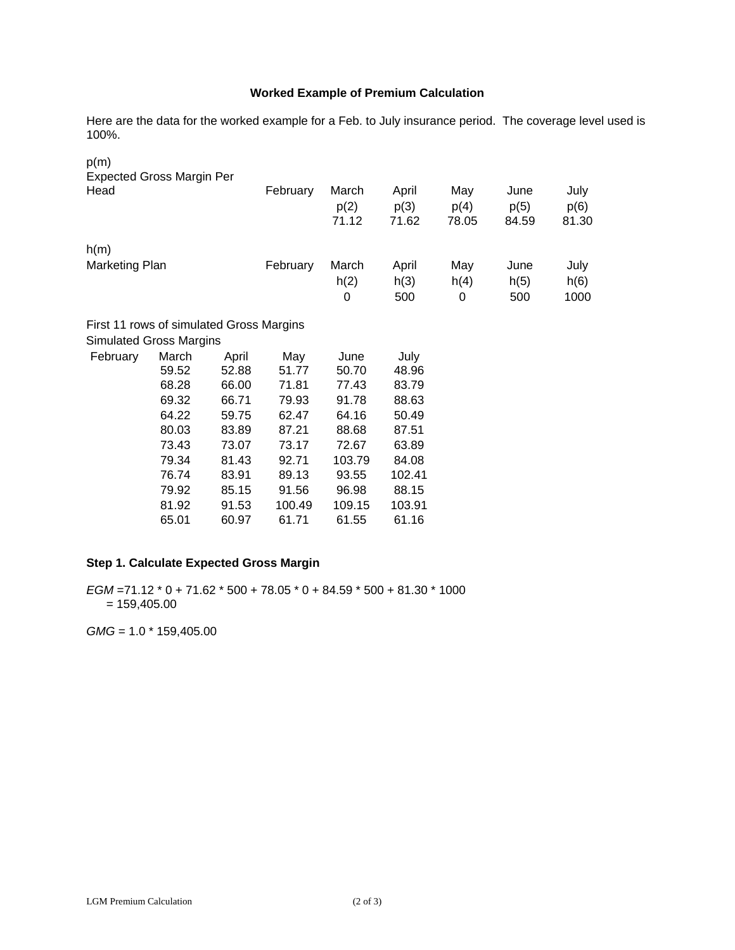# **Worked Example of Premium Calculation**

Here are the data for the worked example for a Feb. to July insurance period. The coverage level used is 100%.

| p(m)                                     |                |                |              |                        |                        |                      |                       |                       |
|------------------------------------------|----------------|----------------|--------------|------------------------|------------------------|----------------------|-----------------------|-----------------------|
| <b>Expected Gross Margin Per</b><br>Head |                |                | February     | March<br>p(2)<br>71.12 | April<br>p(3)<br>71.62 | May<br>p(4)<br>78.05 | June<br>p(5)<br>84.59 | July<br>p(6)<br>81.30 |
| h(m)                                     |                |                |              |                        |                        |                      |                       |                       |
| <b>Marketing Plan</b>                    |                |                | February     | March<br>h(2)<br>0     | April<br>h(3)<br>500   | May<br>h(4)<br>0     | June<br>h(5)<br>500   | July<br>h(6)<br>1000  |
| First 11 rows of simulated Gross Margins |                |                |              |                        |                        |                      |                       |                       |
| <b>Simulated Gross Margins</b>           |                |                |              |                        |                        |                      |                       |                       |
| February                                 | March<br>59.52 | April<br>52.88 | May<br>51.77 | June<br>50.70          | July<br>48.96          |                      |                       |                       |
|                                          | 68.28          | 66.00          | 71.81        | 77.43                  | 83.79                  |                      |                       |                       |
|                                          | 69.32          | 66.71          | 79.93        | 91.78                  | 88.63                  |                      |                       |                       |
|                                          | 64.22          | 59.75          | 62.47        | 64.16                  | 50.49                  |                      |                       |                       |
|                                          | 80.03          | 83.89          | 87.21        | 88.68                  | 87.51                  |                      |                       |                       |
|                                          | 73.43          | 73.07          | 73.17        | 72.67                  | 63.89                  |                      |                       |                       |
|                                          | 79.34          | 81.43          | 92.71        | 103.79                 | 84.08                  |                      |                       |                       |
|                                          | 76.74          | 83.91          | 89.13        | 93.55                  | 102.41                 |                      |                       |                       |
|                                          | 79.92          | 85.15          | 91.56        | 96.98                  | 88.15                  |                      |                       |                       |
|                                          | 81.92          | 91.53          | 100.49       | 109.15                 | 103.91                 |                      |                       |                       |
|                                          | 65.01          | 60.97          | 61.71        | 61.55                  | 61.16                  |                      |                       |                       |

# **Step 1. Calculate Expected Gross Margin**

*EGM* =71.12 \* 0 + 71.62 \* 500 + 78.05 \* 0 + 84.59 \* 500 + 81.30 \* 1000  $= 159,405.00$ 

*GMG* = 1.0 \* 159,405.00